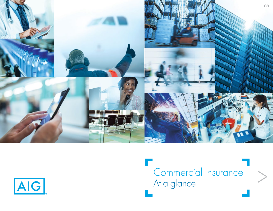<span id="page-0-0"></span>

AIG

Commercial Insurance At a glance

 $\frac{1}{2}$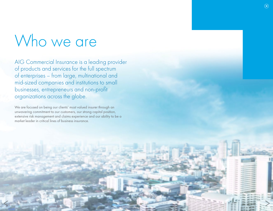# <span id="page-1-0"></span>Who we are

AIG Commercial Insurance is a leading provider of products and services for the full spectrum of enterprises – from large, multinational and mid-sized companies and institutions to small businesses, entrepreneurs and non-profit organizations across the globe.

We are focused on being our clients' most valued insurer through an unwavering commitment to our customers, our strong capital position, extensive risk management and claims experience and our ability to be a market leader in critical lines of business insurance.

[>](#page-0-0) [>](#page-2-0)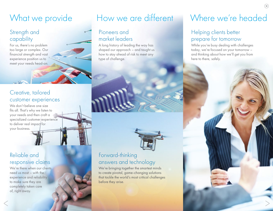## <span id="page-2-0"></span>What we provide

#### Strength and capability

For us, there's no problem too large or complex. Our financial strength and vast experience position us to meet your needs head-on.

#### Creative, tailored customer experiences

We don't believe one size fits all. That's why we listen to your needs and then craft a specialized customer experience to deliver real impact for your business.

### Reliable and responsive claims

We're there when our clients need us most – with the experience and reliability to make sure they are completely taken care of, right away.  $\frac{1}{2}$ 

#### Pioneers and market leaders

A long history of leading the way has shaped our approach – and taught us how to stay ahead of risk to meet any type of challenge.



### Forward-thinking answers and technology

We're bringing together the smartest minds to create pivotal, game-changing solutions that tackle the world's most critical challenges before they arise.

# How we are different Where we're headed

#### Helping clients better prepare for tomorrow

While you're busy dealing with challenges today, we're focused on your tomorrow – and thinking about how we'll get you from here to there, safely.